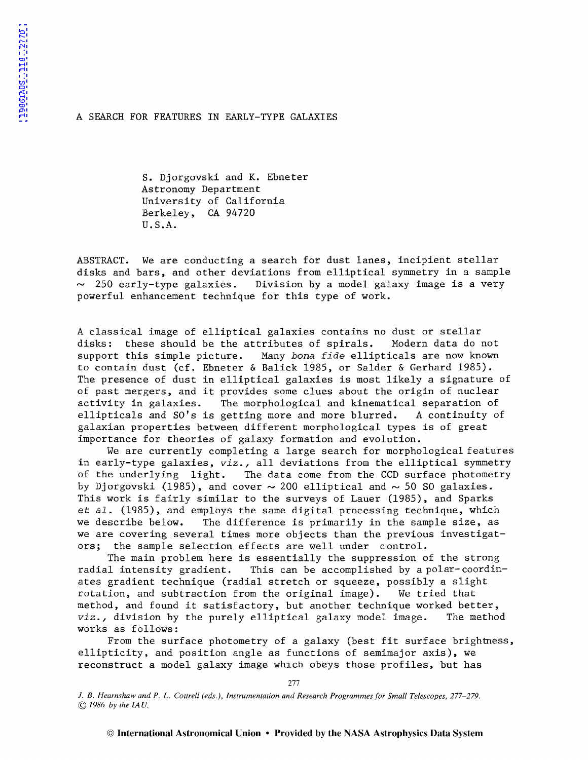## A SEARCH FOR FEATURES IN EARLY-TYPE GALAXIES

S. Djorgovski and K. Ebneter Astronomy Department University of California Berkeley, CA 94720 U.S.A.

ABSTRACT. We are conducting a search for dust lanes, incipient stellar disks and bars, and other deviations from elliptical symmetry in a sample  $\sim$  250 early-type galaxies. Division by a model galaxy image is a very powerful enhancement technique for this type of work.

A classical image of elliptical galaxies contains no dust or stellar disks: these should be the attributes of spirals. Modern data do not disks: these should be the attributes of spirals. support this simple picture. Many *bona fide* ellipticals are now known to contain dust (cf. Ebneter & Balick 1985, or Salder & Gerhard 1985). The presence of dust in elliptical galaxies is most likely a signature of of past mergers, and **it** provides some clues about the origin of nuclear activity in galaxies. The morphological and kinematical separation of<br>ellipticals and SO's is getting more and more blurred. A continuity of ellipticals and  $SO^{\dagger}s$  is getting more and more blurred. galaxian properties between different morphological types is of great importance for theories of galaxy formation and evolution.

We are currently completing a large search for morphological features in early-type galaxies, *viz.,* all deviations from the elliptical symmetry of the underlying light. The data come from the CCD surface photometry by Djorgovski (1985), and cover  $\sim$  200 elliptical and  $\sim$  50 SO galaxies. This work is fairly similar to the surveys of Lauer (1985), and Sparks *et al.* (1985), and employs the same digital processing technique, which we describe below. The difference is primarily in the sample size, as we are covering several times more objects than the previous investigators; the sample selection effects are well under control.

The main problem here is essentially the suppression of the strong<br>radial intensity gradient. This can be accomplished by a polar-coordin This can be accomplished by a polar-coordinates gradient technique (radial stretch or squeeze, possibly a slight rotation, and subtraction from the original image). We tried that method, and found it satisfactory, but another technique worked better,<br>viz., division by the purely elliptical galaxy model image. The method viz., division by the purely elliptical galaxy model image. works as follows:

From the surface photometry of a galaxy (best fit surface brightness, ellipticity, and position angle as functions of semimajor axis), we reconstruct a model galaxy image which obeys those profiles, but has

J. *B. Hearnshaw and P. L. Cottrell (eds.), Instrumentation and Research Programmes for Small Telescopes, 277-279.*  © *1986* by *the !AU.* 

277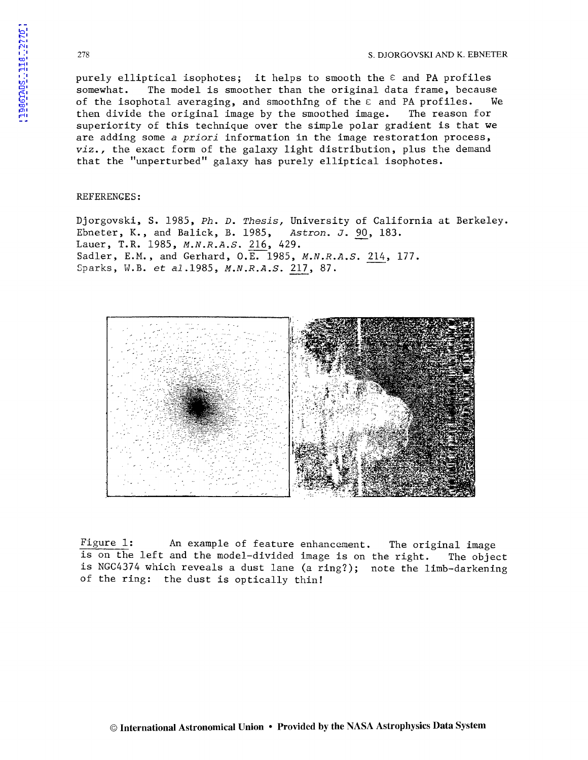purely elliptical isophotes; it helps to smooth the  $\varepsilon$  and PA profiles somewhat. The model is smoother than the original data frame, because The model is smoother than the original data frame, because of the isophotal averaging, and smoothing of the  $\varepsilon$  and PA profiles. We then divide the original image by the smoothed image. The reason for superiority of this technique over the simple polar gradient is that we are adding some *a priori* information in the image restoration process, *viz.,* the exact form of the galaxy light distribution, plus the demand that the "unperturbed" galaxy has purely elliptical isophotes.

## REFERENCES:

Djorgovski, S. 1985, *Ph. D. Thesis,* University of California at Berkeley. Ebneter, K., and Balick, B. 1985, *Astron. J.* 90, 183. Lauer, T.R. 1985, *M.N.R.A.S.* 216, 429. Sadler, E.M., and Gerhard, O.E. 1985, *M.N.R.A.S.* 214, 177. Sparks, W.B. *et* al.1985, *M.N.R.A.S.* 217, 87 •



Figure 1: An example of feature enhancement. The original image is on the left and the model-divided image is on the right. The object is NGC4374 which reveals a dust lane (a ring?); note the limb-darkening of the ring: the dust is optically thin!